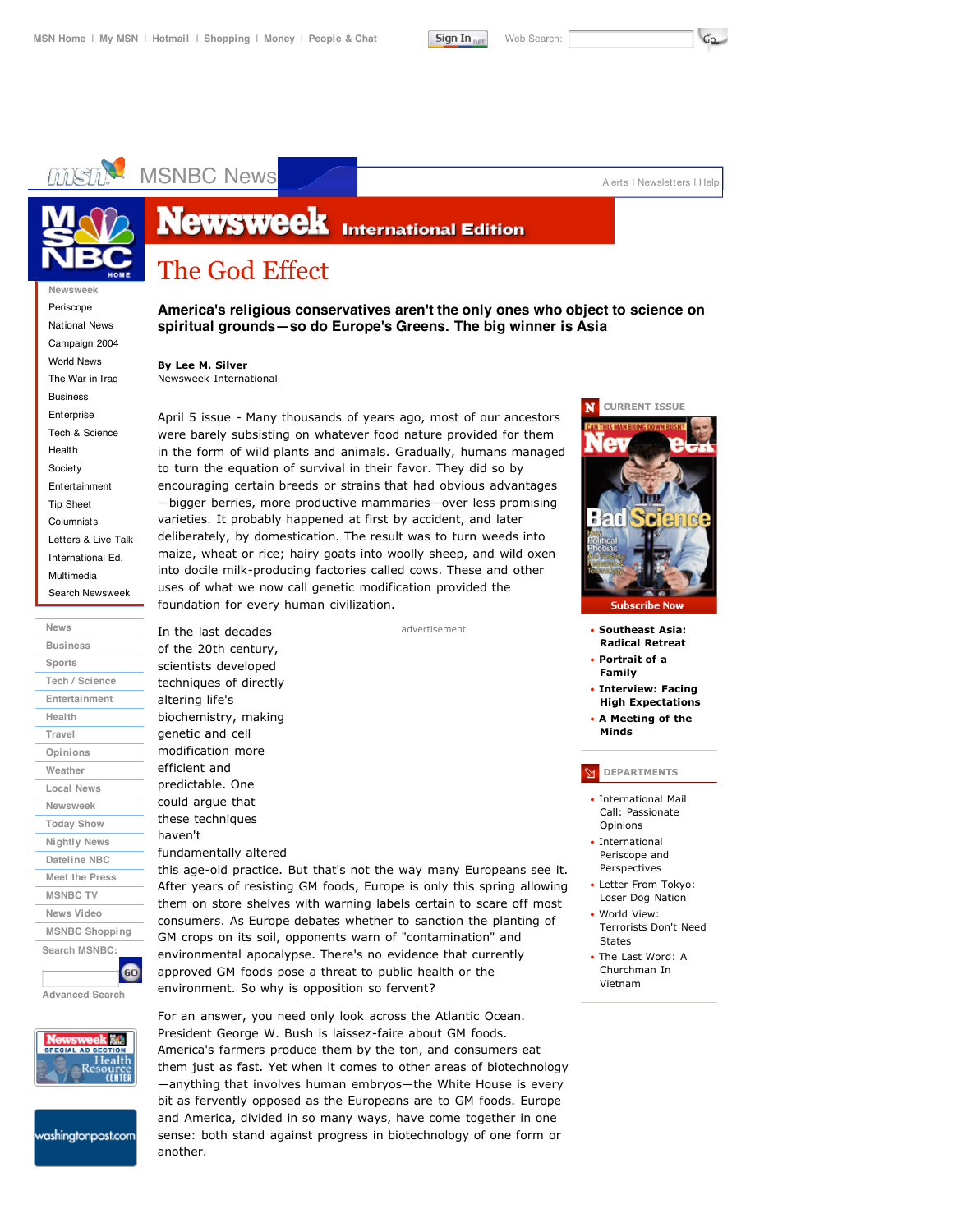

# MSNBC News<br>Alerts | Newsletters | Help



# **Newsweek International Edition**

# The God Effect

**Newsweek** Periscope

National News Campaign 2004 World News The War in Iraq Business Enterprise Tech & Science Health Society Entertainment Tip Sheet Columnists Letters & Live Talk International Ed. Multimedia Search Newsweek

**News Business Sports Tech / Science Entertainment Health Travel Opinions Weather Local News Newsweek Today Show Nightly News Dateline NBC Meet the Press MSNBC TV News Video MSNBC Shopping Search MSNBC: GO** 

**Advanced Search**



washingtonpost.com

**America's religious conservatives aren't the only ones who object to science on spiritual grounds—so do Europe's Greens. The big winner is Asia**

#### **By Lee M. Silver** Newsweek International

In the last decades of the 20th century, scientists developed techniques of directly altering life's biochemistry, making genetic and cell modification more efficient and predictable. One could argue that these techniques

haven't

fundamentally altered

April 5 issue - Many thousands of years ago, most of our ancestors were barely subsisting on whatever food nature provided for them in the form of wild plants and animals. Gradually, humans managed to turn the equation of survival in their favor. They did so by encouraging certain breeds or strains that had obvious advantages —bigger berries, more productive mammaries—over less promising varieties. It probably happened at first by accident, and later deliberately, by domestication. The result was to turn weeds into maize, wheat or rice; hairy goats into woolly sheep, and wild oxen into docile milk-producing factories called cows. These and other uses of what we now call genetic modification provided the foundation for every human civilization.

advertisement



- **Southeast Asia: Radical Retreat**
- **Portrait of a Family**
- **Interview: Facing High Expectations**
- **A Meeting of the Minds**

### **DEPARTMENTS**

- International Mail Call: Passionate Opinions
- International Periscope and Perspectives
- Letter From Tokyo: Loser Dog Nation
- World View: Terrorists Don't Need States
- The Last Word: A Churchman In Vietnam

this age-old practice. But that's not the way many Europeans see it. After years of resisting GM foods, Europe is only this spring allowing them on store shelves with warning labels certain to scare off most consumers. As Europe debates whether to sanction the planting of GM crops on its soil, opponents warn of "contamination" and environmental apocalypse. There's no evidence that currently approved GM foods pose a threat to public health or the environment. So why is opposition so fervent?

For an answer, you need only look across the Atlantic Ocean. President George W. Bush is laissez-faire about GM foods. America's farmers produce them by the ton, and consumers eat them just as fast. Yet when it comes to other areas of biotechnology —anything that involves human embryos—the White House is every bit as fervently opposed as the Europeans are to GM foods. Europe and America, divided in so many ways, have come together in one sense: both stand against progress in biotechnology of one form or another.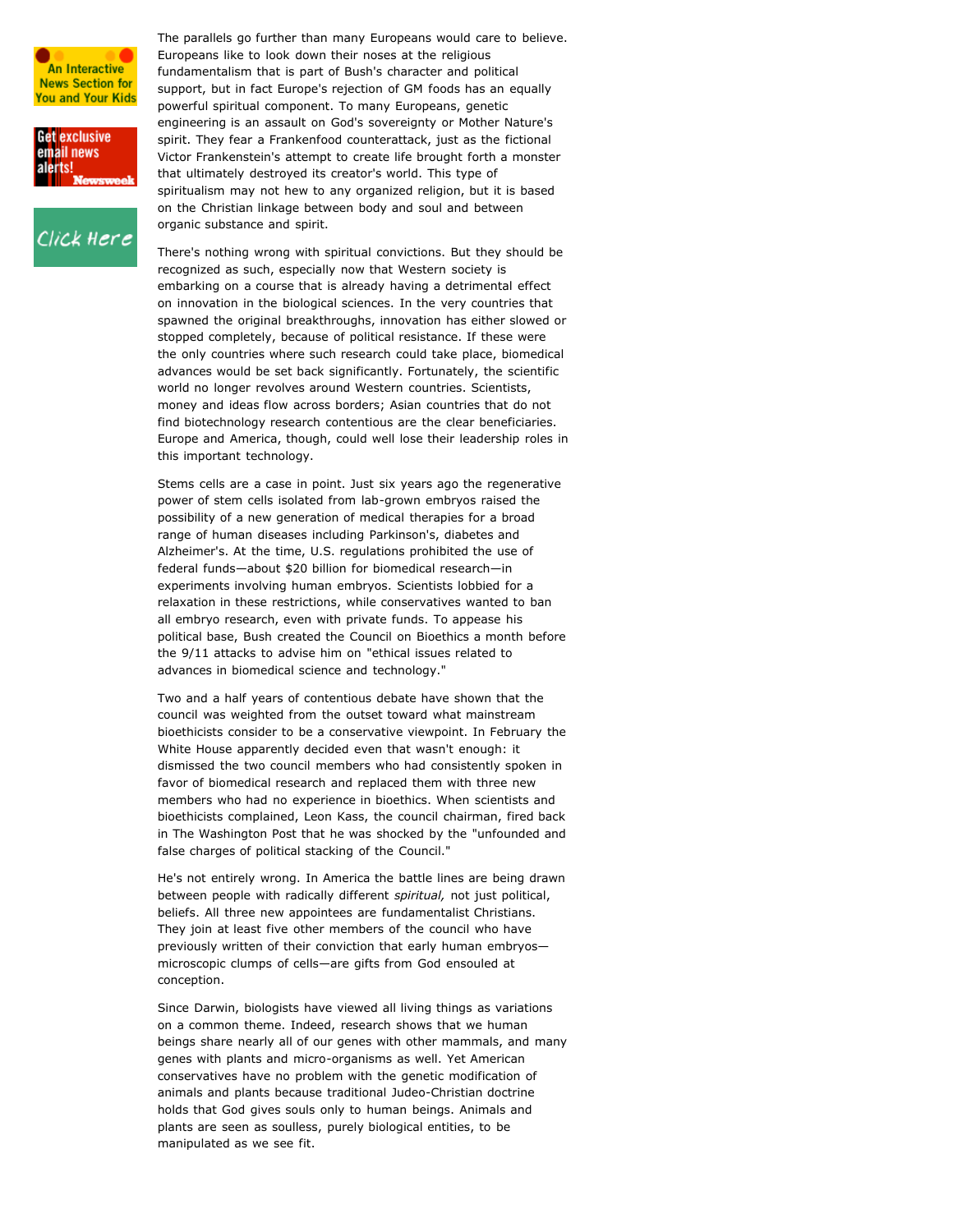



Click Here

The parallels go further than many Europeans would care to believe. Europeans like to look down their noses at the religious fundamentalism that is part of Bush's character and political support, but in fact Europe's rejection of GM foods has an equally powerful spiritual component. To many Europeans, genetic engineering is an assault on God's sovereignty or Mother Nature's spirit. They fear a Frankenfood counterattack, just as the fictional Victor Frankenstein's attempt to create life brought forth a monster that ultimately destroyed its creator's world. This type of spiritualism may not hew to any organized religion, but it is based on the Christian linkage between body and soul and between organic substance and spirit.

There's nothing wrong with spiritual convictions. But they should be recognized as such, especially now that Western society is embarking on a course that is already having a detrimental effect on innovation in the biological sciences. In the very countries that spawned the original breakthroughs, innovation has either slowed or stopped completely, because of political resistance. If these were the only countries where such research could take place, biomedical advances would be set back significantly. Fortunately, the scientific world no longer revolves around Western countries. Scientists, money and ideas flow across borders; Asian countries that do not find biotechnology research contentious are the clear beneficiaries. Europe and America, though, could well lose their leadership roles in this important technology.

Stems cells are a case in point. Just six years ago the regenerative power of stem cells isolated from lab-grown embryos raised the possibility of a new generation of medical therapies for a broad range of human diseases including Parkinson's, diabetes and Alzheimer's. At the time, U.S. regulations prohibited the use of federal funds—about \$20 billion for biomedical research—in experiments involving human embryos. Scientists lobbied for a relaxation in these restrictions, while conservatives wanted to ban all embryo research, even with private funds. To appease his political base, Bush created the Council on Bioethics a month before the 9/11 attacks to advise him on "ethical issues related to advances in biomedical science and technology."

Two and a half years of contentious debate have shown that the council was weighted from the outset toward what mainstream bioethicists consider to be a conservative viewpoint. In February the White House apparently decided even that wasn't enough: it dismissed the two council members who had consistently spoken in favor of biomedical research and replaced them with three new members who had no experience in bioethics. When scientists and bioethicists complained, Leon Kass, the council chairman, fired back in The Washington Post that he was shocked by the "unfounded and false charges of political stacking of the Council."

He's not entirely wrong. In America the battle lines are being drawn between people with radically different *spiritual,* not just political, beliefs. All three new appointees are fundamentalist Christians. They join at least five other members of the council who have previously written of their conviction that early human embryos microscopic clumps of cells—are gifts from God ensouled at conception.

Since Darwin, biologists have viewed all living things as variations on a common theme. Indeed, research shows that we human beings share nearly all of our genes with other mammals, and many genes with plants and micro-organisms as well. Yet American conservatives have no problem with the genetic modification of animals and plants because traditional Judeo-Christian doctrine holds that God gives souls only to human beings. Animals and plants are seen as soulless, purely biological entities, to be manipulated as we see fit.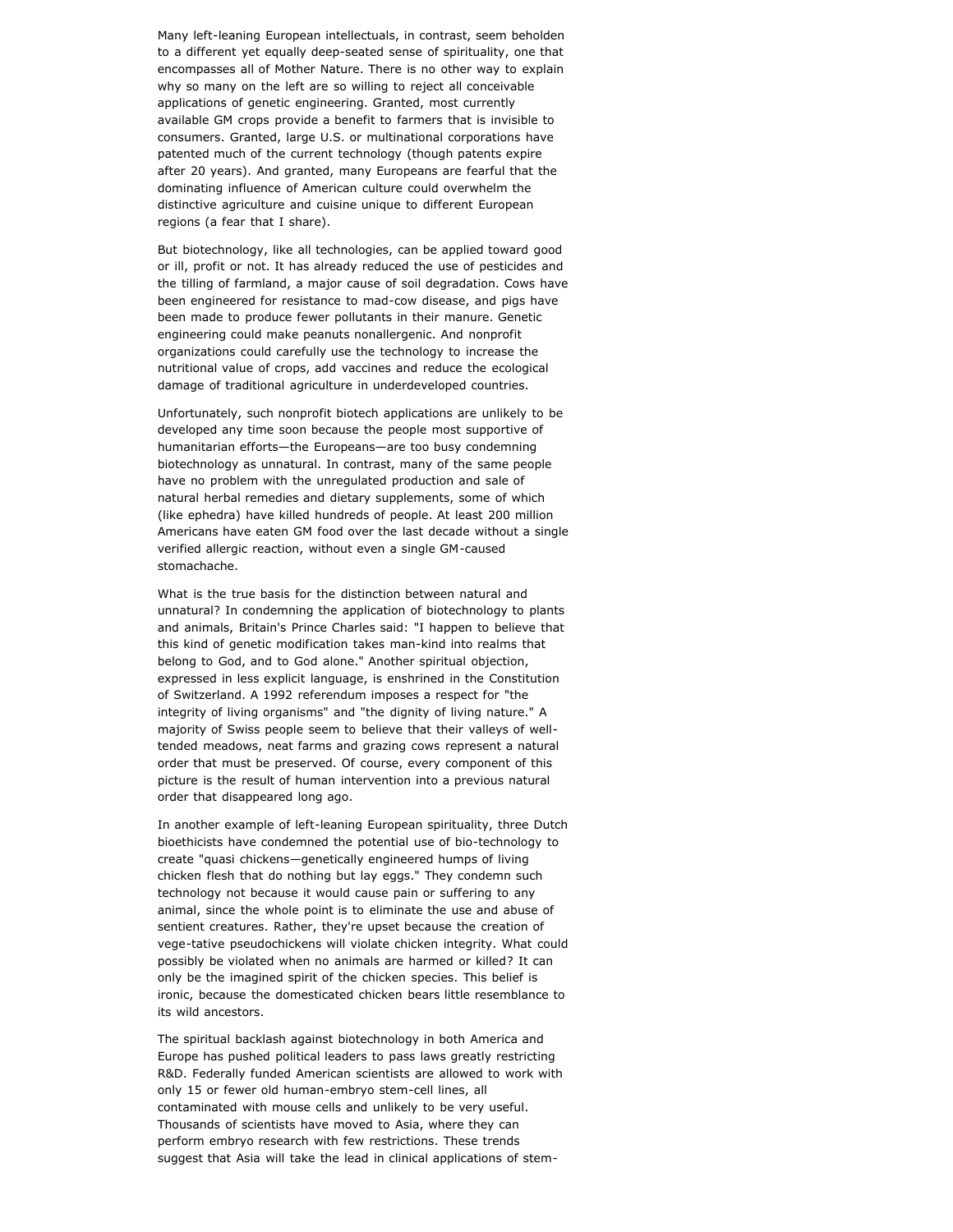Many left-leaning European intellectuals, in contrast, seem beholden to a different yet equally deep-seated sense of spirituality, one that encompasses all of Mother Nature. There is no other way to explain why so many on the left are so willing to reject all conceivable applications of genetic engineering. Granted, most currently available GM crops provide a benefit to farmers that is invisible to consumers. Granted, large U.S. or multinational corporations have patented much of the current technology (though patents expire after 20 years). And granted, many Europeans are fearful that the dominating influence of American culture could overwhelm the distinctive agriculture and cuisine unique to different European regions (a fear that I share).

But biotechnology, like all technologies, can be applied toward good or ill, profit or not. It has already reduced the use of pesticides and the tilling of farmland, a major cause of soil degradation. Cows have been engineered for resistance to mad-cow disease, and pigs have been made to produce fewer pollutants in their manure. Genetic engineering could make peanuts nonallergenic. And nonprofit organizations could carefully use the technology to increase the nutritional value of crops, add vaccines and reduce the ecological damage of traditional agriculture in underdeveloped countries.

Unfortunately, such nonprofit biotech applications are unlikely to be developed any time soon because the people most supportive of humanitarian efforts—the Europeans—are too busy condemning biotechnology as unnatural. In contrast, many of the same people have no problem with the unregulated production and sale of natural herbal remedies and dietary supplements, some of which (like ephedra) have killed hundreds of people. At least 200 million Americans have eaten GM food over the last decade without a single verified allergic reaction, without even a single GM-caused stomachache.

What is the true basis for the distinction between natural and unnatural? In condemning the application of biotechnology to plants and animals, Britain's Prince Charles said: "I happen to believe that this kind of genetic modification takes man-kind into realms that belong to God, and to God alone." Another spiritual objection, expressed in less explicit language, is enshrined in the Constitution of Switzerland. A 1992 referendum imposes a respect for "the integrity of living organisms" and "the dignity of living nature." A majority of Swiss people seem to believe that their valleys of welltended meadows, neat farms and grazing cows represent a natural order that must be preserved. Of course, every component of this picture is the result of human intervention into a previous natural order that disappeared long ago.

In another example of left-leaning European spirituality, three Dutch bioethicists have condemned the potential use of bio-technology to create "quasi chickens—genetically engineered humps of living chicken flesh that do nothing but lay eggs." They condemn such technology not because it would cause pain or suffering to any animal, since the whole point is to eliminate the use and abuse of sentient creatures. Rather, they're upset because the creation of vege-tative pseudochickens will violate chicken integrity. What could possibly be violated when no animals are harmed or killed? It can only be the imagined spirit of the chicken species. This belief is ironic, because the domesticated chicken bears little resemblance to its wild ancestors.

The spiritual backlash against biotechnology in both America and Europe has pushed political leaders to pass laws greatly restricting R&D. Federally funded American scientists are allowed to work with only 15 or fewer old human-embryo stem-cell lines, all contaminated with mouse cells and unlikely to be very useful. Thousands of scientists have moved to Asia, where they can perform embryo research with few restrictions. These trends suggest that Asia will take the lead in clinical applications of stem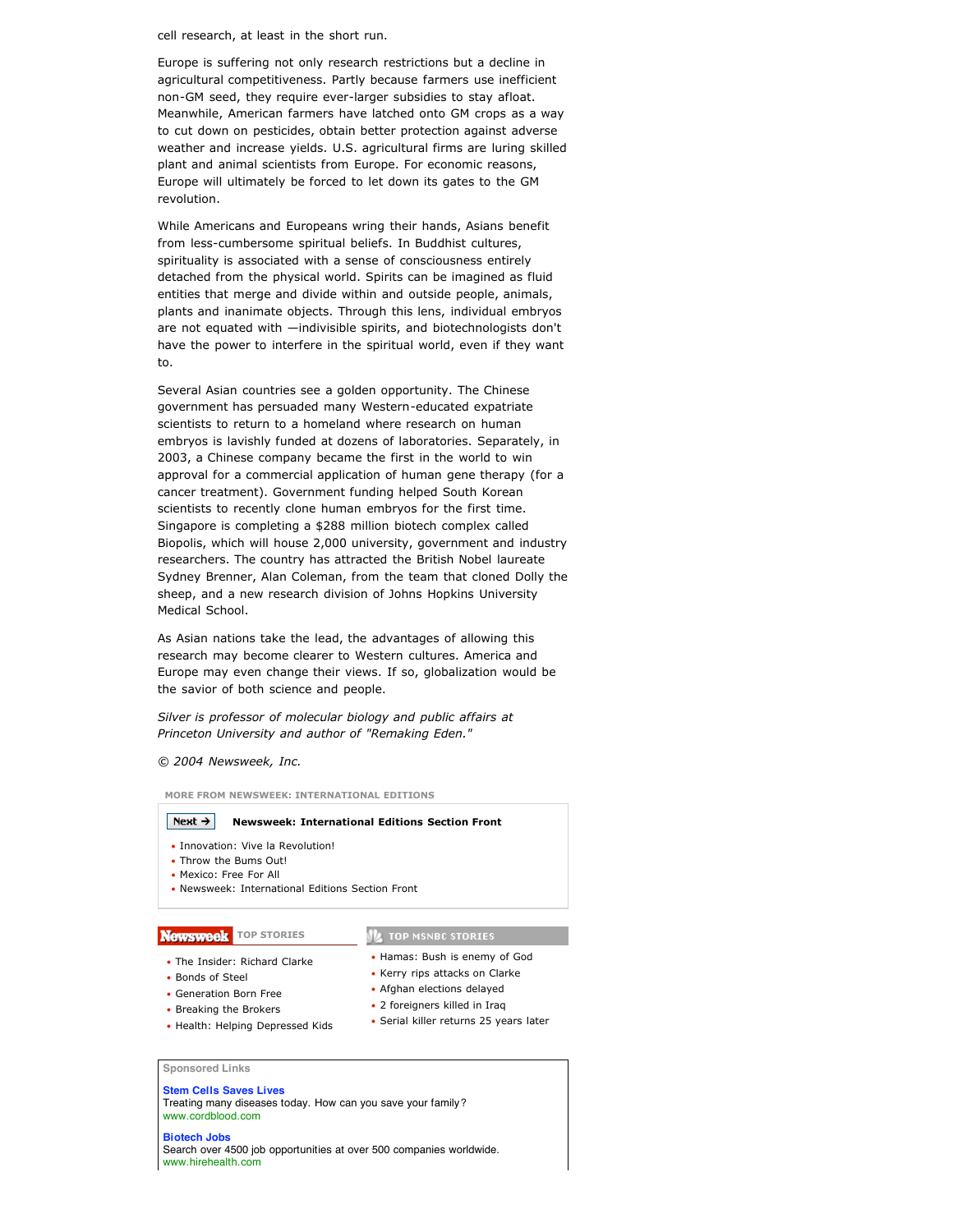cell research, at least in the short run.

Europe is suffering not only research restrictions but a decline in agricultural competitiveness. Partly because farmers use inefficient non-GM seed, they require ever-larger subsidies to stay afloat. Meanwhile, American farmers have latched onto GM crops as a way to cut down on pesticides, obtain better protection against adverse weather and increase yields. U.S. agricultural firms are luring skilled plant and animal scientists from Europe. For economic reasons, Europe will ultimately be forced to let down its gates to the GM revolution.

While Americans and Europeans wring their hands, Asians benefit from less-cumbersome spiritual beliefs. In Buddhist cultures, spirituality is associated with a sense of consciousness entirely detached from the physical world. Spirits can be imagined as fluid entities that merge and divide within and outside people, animals, plants and inanimate objects. Through this lens, individual embryos are not equated with —indivisible spirits, and biotechnologists don't have the power to interfere in the spiritual world, even if they want to.

Several Asian countries see a golden opportunity. The Chinese government has persuaded many Western-educated expatriate scientists to return to a homeland where research on human embryos is lavishly funded at dozens of laboratories. Separately, in 2003, a Chinese company became the first in the world to win approval for a commercial application of human gene therapy (for a cancer treatment). Government funding helped South Korean scientists to recently clone human embryos for the first time. Singapore is completing a \$288 million biotech complex called Biopolis, which will house 2,000 university, government and industry researchers. The country has attracted the British Nobel laureate Sydney Brenner, Alan Coleman, from the team that cloned Dolly the sheep, and a new research division of Johns Hopkins University Medical School.

As Asian nations take the lead, the advantages of allowing this research may become clearer to Western cultures. America and Europe may even change their views. If so, globalization would be the savior of both science and people.

*Silver is professor of molecular biology and public affairs at Princeton University and author of "Remaking Eden."*

#### *© 2004 Newsweek, Inc.*

**MORE FROM NEWSWEEK: INTERNATIONAL EDITIONS**

#### Next  $\rightarrow$ **Newsweek: International Editions Section Front**

- Innovation: Vive la Revolution!
- Throw the Bums Out!
- Mexico: Free For All
- Newsweek: International Editions Section Front

### **Newsweek** TOP STORIES

# **IL TOP MSNBC STORIES** • Hamas: Bush is enemy of God

- The Insider: Richard Clarke
- Bonds of Steel
- Generation Born Free
- Breaking the Brokers
- Health: Helping Depressed Kids

• Kerry rips attacks on Clarke • Afghan elections delayed

- 2 foreigners killed in Iraq
- Serial killer returns 25 years later

**Sponsored Links**

#### **Stem Cells Saves Lives**

Treating many diseases today. How can you save your family? www.cordblood.com

#### **Biotech Jobs**

Search over 4500 job opportunities at over 500 companies worldwide. www.hirehealth.com